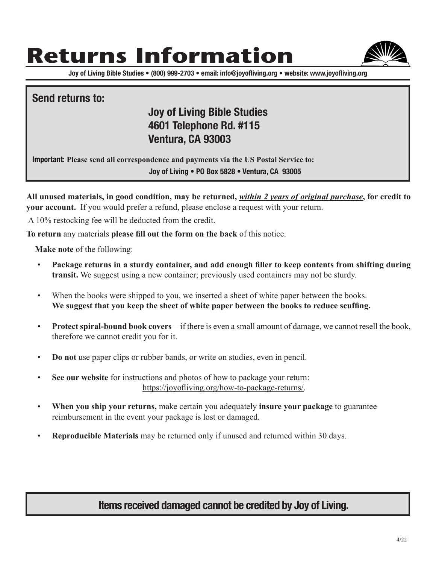# **Returns Information**



**Joy of Living Bible Studies • (800) 999-2703 • email: info@joyofliving.org • website: www.joyofliving.org**

#### **Send returns to:**

#### **Joy of Living Bible Studies 4601 Telephone Rd. #115 Ventura, CA 93003**

**Important: Please send all correspondence and payments via the US Postal Service to: Joy of Living • PO Box 5828 • Ventura, CA 93005**

**All unused materials, in good condition, may be returned,** *within 2 years of original purchase***, for credit to your account.** If you would prefer a refund, please enclose a request with your return.

A 10% restocking fee will be deducted from the credit.

**To return** any materials **please fill out the form on the back** of this notice.

 **Make note** of the following:

- **Package returns in a sturdy container, and add enough filler to keep contents from shifting during transit.** We suggest using a new container; previously used containers may not be sturdy.
- When the books were shipped to you, we inserted a sheet of white paper between the books. **We suggest that you keep the sheet of white paper between the books to reduce scuffing.**
- **Protect spiral-bound book covers**—if there is even a small amount of damage, we cannot resell the book, therefore we cannot credit you for it.
- **Do not** use paper clips or rubber bands, or write on studies, even in pencil.
- **See our website** for instructions and photos of how to package your return: https://joyofliving.org/how-to-package-returns/.
- **When you ship your returns,** make certain you adequately **insure your package** to guarantee reimbursement in the event your package is lost or damaged.
- **Reproducible Materials** may be returned only if unused and returned within 30 days.

#### **Items received damaged cannot be credited by Joy of Living.**